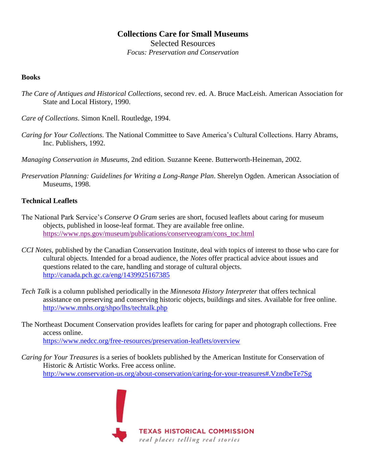# **Collections Care for Small Museums** Selected Resources

*Focus: Preservation and Conservation*

### **Books**

- *The Care of Antiques and Historical Collections*, second rev. ed. A. Bruce MacLeish. American Association for State and Local History, 1990.
- *Care of Collections*. Simon Knell. Routledge, 1994.
- *Caring for Your Collections*. The National Committee to Save America's Cultural Collections. Harry Abrams, Inc. Publishers, 1992.
- *Managing Conservation in Museums*, 2nd edition*.* Suzanne Keene. Butterworth-Heineman, 2002.
- *Preservation Planning: Guidelines for Writing a Long-Range Plan*. Sherelyn Ogden. American Association of Museums, 1998.

## **Technical Leaflets**

- The National Park Service's *Conserve O Gram* series are short, focused leaflets about caring for museum objects, published in loose-leaf format. They are available free online. [https://www.nps.gov/museum/publications/conserveogram/cons\\_toc.html](https://www.nps.gov/museum/publications/conserveogram/cons_toc.html)
- *CCI Notes*, published by the Canadian Conservation Institute, deal with topics of interest to those who care for cultural objects. Intended for a broad audience, the *Notes* offer practical advice about issues and questions related to the care, handling and storage of cultural objects. <http://canada.pch.gc.ca/eng/1439925167385>
- *Tech Talk* is a column published periodically in the *[Minnesota History Interpreter](http://www.mnhs.org/about/publications/interpreter.html)* that offers technical assistance on preserving and conserving historic objects, buildings and sites. Available for free online. <http://www.mnhs.org/shpo/lhs/techtalk.php>
- The Northeast Document Conservation provides leaflets for caring for paper and photograph collections. Free access online. <https://www.nedcc.org/free-resources/preservation-leaflets/overview>
- *Caring for Your Treasures* is a series of booklets published by the American Institute for Conservation of Historic & Artistic Works. Free access online. <http://www.conservation-us.org/about-conservation/caring-for-your-treasures#.VzndbeTe7Sg>



**TEXAS HISTORICAL COMMISSION** real places telling real stories